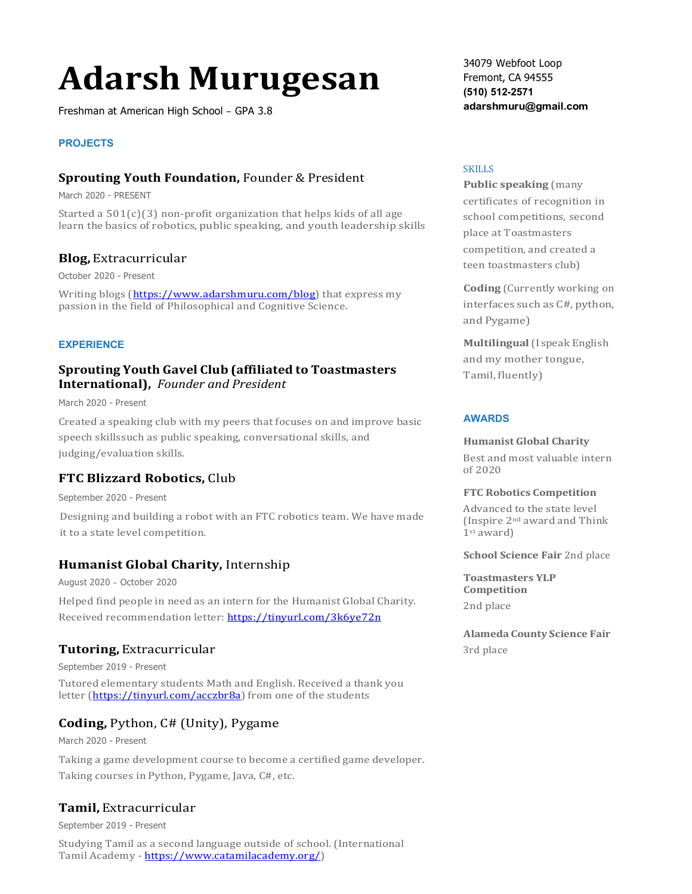# **Adarsh Murugesan**

Freshman at American High School – GPA 3.8

#### **PROJECTS**

#### **Sprouting Youth Foundation,** Founder & President

March 2020 - PRESENT

Started a  $501(c)(3)$  non-profit organization that helps kids of all age learn the basics of robotics, public speaking, and youth leadership skills

#### **Blog,** Extracurricular

October 2020 - Present

Writing blogs (https://www.adarshmuru.com/blog) that express my passion in the field of Philosophical and Cognitive Science.

#### **EXPERIENCE**

### **Sprouting Youth Gavel Club (affiliated to Toastmasters International),** *Founder and President*

March 2020 - Present

Created a speaking club with my peers that focuses on and improve basic speech skillssuch as public speaking, conversational skills, and judging/evaluation skills.

## **FTC Blizzard Robotics, Club**

September 2020 - Present

Designing and building a robot with an FTC robotics team. We have made it to a state level competition.

## **Humanist Global Charity, Internship**

August 2020 – October 2020

Helped find people in need as an intern for the Humanist Global Charity. Received recommendation letter: https://tinyurl.com/3k6ye72n

#### **Tutoring,** Extracurricular

September 2019 - Present

Tutored elementary students Math and English. Received a thank you letter (https://tinyurl.com/acczbr8a) from one of the students

## **Coding,** Python, C# (Unity), Pygame

March 2020 - Present

Taking a game development course to become a certified game developer. Taking courses in Python, Pygame, Java, C#, etc.

## **Tamil,** Extracurricular

September 2019 - Present

Studying Tamil as a second language outside of school. (International Tamil Academy - https://www.catamilacademy.org/)

34079 Webfoot Loop Fremont, CA 94555 **(510) 512-2571 adarshmuru@gmail.com**

#### SKILLS

**Public speaking (many** certificates of recognition in school competitions, second place at Toastmasters competition, and created a teen toastmasters club)

**Coding** (Currently working on interfaces such as C#, python, and Pygame)

**Multilingual**(I speak English and my mother tongue, Tamil, fluently)

#### **AWARDS**

**Humanist Global Charity** 

Best and most valuable intern of 2020

#### **FTC Robotics Competition**

Advanced to the state level (Inspire  $2^{nd}$  award and Think 1st award)

**School Science Fair** 2nd place

**Toastmasters YLP Competition** 2nd place

**Alameda County Science Fair** 3rd place